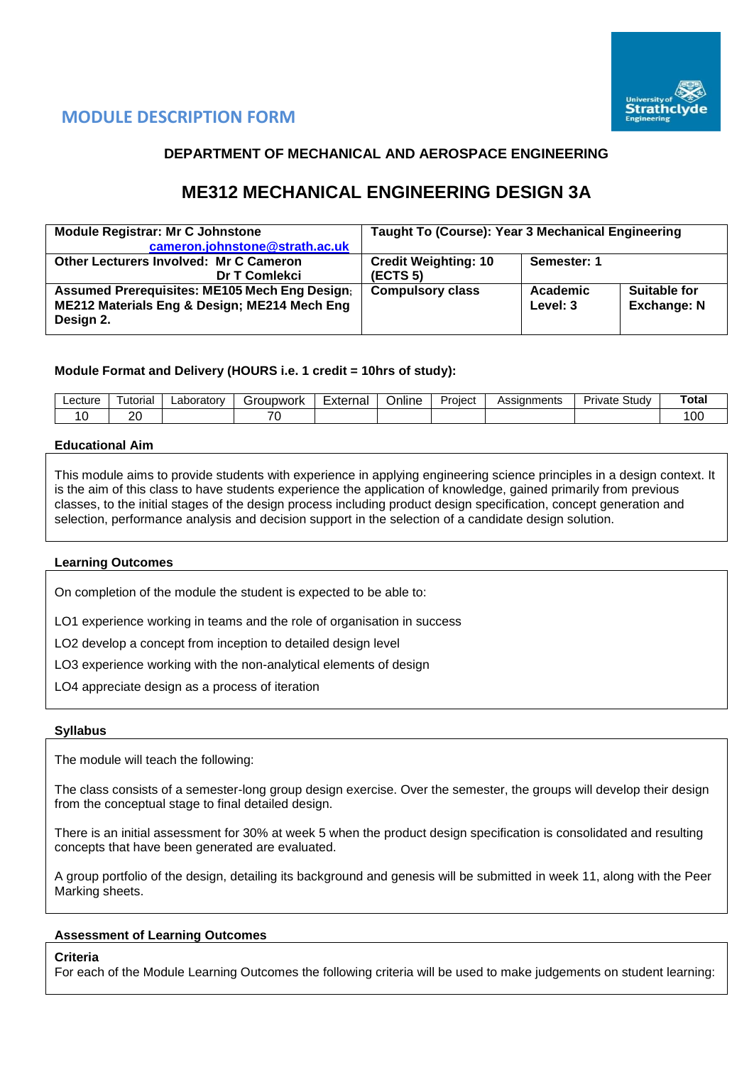

# **MODULE DESCRIPTION FORM**

## **DEPARTMENT OF MECHANICAL AND AEROSPACE ENGINEERING**

# **ME312 MECHANICAL ENGINEERING DESIGN 3A**

| <b>Module Registrar: Mr C Johnstone</b><br>cameron.johnstone@strath.ac.uk                                         | Taught To (Course): Year 3 Mechanical Engineering |                      |                                    |  |  |  |  |
|-------------------------------------------------------------------------------------------------------------------|---------------------------------------------------|----------------------|------------------------------------|--|--|--|--|
| <b>Other Lecturers Involved: Mr C Cameron</b><br>Dr T Comlekci                                                    | <b>Credit Weighting: 10</b><br>(ECTS 5)           | Semester: 1          |                                    |  |  |  |  |
| <b>Assumed Prerequisites: ME105 Mech Eng Design;</b><br>ME212 Materials Eng & Design; ME214 Mech Eng<br>Design 2. | <b>Compulsory class</b>                           | Academic<br>Level: 3 | Suitable for<br><b>Exchange: N</b> |  |  |  |  |

## **Module Format and Delivery (HOURS i.e. 1 credit = 10hrs of study):**

| ∟ecture | utorial  | ∟aborator∨ | iroupwork<br>. a l       | Externa' | -<br>Online | -<br>Project | Assianments | - -<br>Study<br>Private | Total |
|---------|----------|------------|--------------------------|----------|-------------|--------------|-------------|-------------------------|-------|
|         | or.<br>∼ |            | $\overline{\phantom{a}}$ |          |             |              |             |                         | OC    |

### **Educational Aim**

This module aims to provide students with experience in applying engineering science principles in a design context. It is the aim of this class to have students experience the application of knowledge, gained primarily from previous classes, to the initial stages of the design process including product design specification, concept generation and selection, performance analysis and decision support in the selection of a candidate design solution.

## **Learning Outcomes**

On completion of the module the student is expected to be able to:

LO1 experience working in teams and the role of organisation in success

LO2 develop a concept from inception to detailed design level

LO3 experience working with the non-analytical elements of design

LO4 appreciate design as a process of iteration

#### **Syllabus**

The module will teach the following:

The class consists of a semester-long group design exercise. Over the semester, the groups will develop their design from the conceptual stage to final detailed design.

There is an initial assessment for 30% at week 5 when the product design specification is consolidated and resulting concepts that have been generated are evaluated.

A group portfolio of the design, detailing its background and genesis will be submitted in week 11, along with the Peer Marking sheets.

## **Assessment of Learning Outcomes**

#### **Criteria**

For each of the Module Learning Outcomes the following criteria will be used to make judgements on student learning: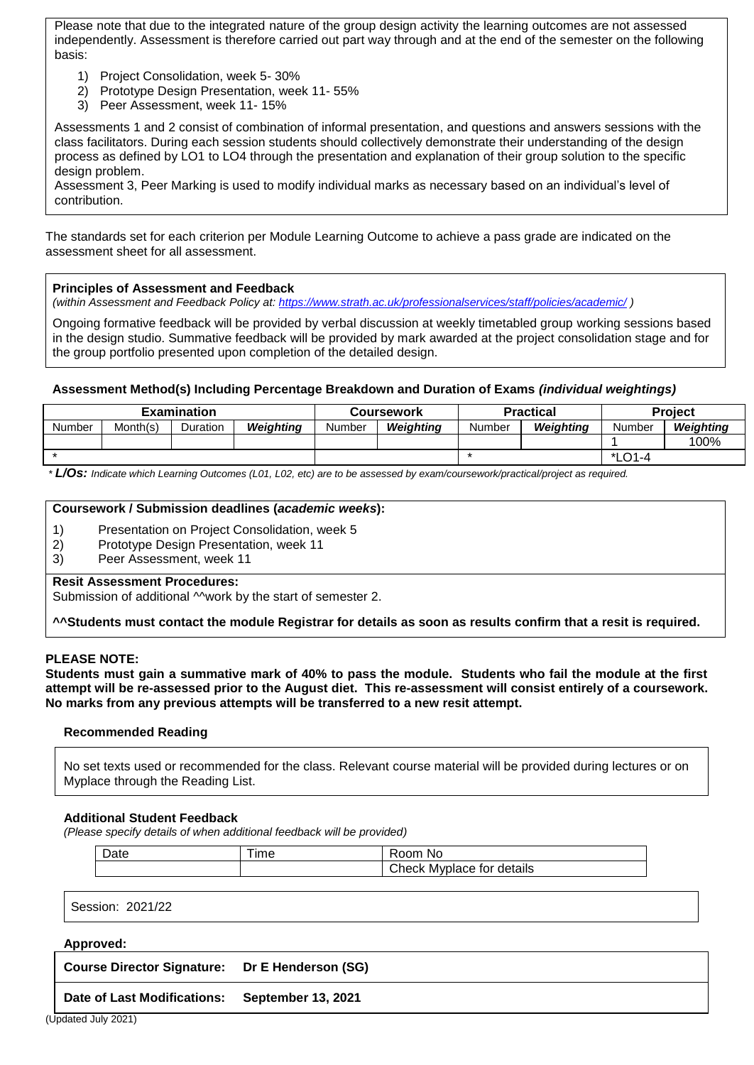Please note that due to the integrated nature of the group design activity the learning outcomes are not assessed independently. Assessment is therefore carried out part way through and at the end of the semester on the following basis:

- 1) Project Consolidation, week 5- 30%
- 2) Prototype Design Presentation, week 11- 55%
- 3) Peer Assessment, week 11- 15%

Assessments 1 and 2 consist of combination of informal presentation, and questions and answers sessions with the class facilitators. During each session students should collectively demonstrate their understanding of the design process as defined by LO1 to LO4 through the presentation and explanation of their group solution to the specific design problem.

Assessment 3, Peer Marking is used to modify individual marks as necessary based on an individual's level of contribution.

The standards set for each criterion per Module Learning Outcome to achieve a pass grade are indicated on the assessment sheet for all assessment.

#### **Principles of Assessment and Feedback**

*(within Assessment and Feedback Policy at: <https://www.strath.ac.uk/professionalservices/staff/policies/academic/> )*

Ongoing formative feedback will be provided by verbal discussion at weekly timetabled group working sessions based in the design studio. Summative feedback will be provided by mark awarded at the project consolidation stage and for the group portfolio presented upon completion of the detailed design.

### **Assessment Method(s) Including Percentage Breakdown and Duration of Exams** *(individual weightings)*

| <b>Examination</b> |          |          |           | <b>Coursework</b> |           |        | <b>Practical</b> | <b>Project</b> |           |  |
|--------------------|----------|----------|-----------|-------------------|-----------|--------|------------------|----------------|-----------|--|
| Number             | Month(s) | Duration | Weiahtina | Number            | Weiahtina | Number | Weiahtina        | Number         | Weiahtina |  |
|                    |          |          |           |                   |           |        |                  |                | 100%      |  |
|                    |          |          |           |                   |           |        |                  | *LO1-4         |           |  |

*\* L/Os: Indicate which Learning Outcomes (L01, L02, etc) are to be assessed by exam/coursework/practical/project as required.*

#### **Coursework / Submission deadlines (***academic weeks***):**

- 1) Presentation on Project Consolidation, week 5
- 2) Prototype Design Presentation, week 11
- 3) Peer Assessment, week 11

#### **Resit Assessment Procedures:**

Submission of additional M work by the start of semester 2.

**^^Students must contact the module Registrar for details as soon as results confirm that a resit is required.** 

#### **PLEASE NOTE:**

**Students must gain a summative mark of 40% to pass the module. Students who fail the module at the first attempt will be re-assessed prior to the August diet. This re-assessment will consist entirely of a coursework. No marks from any previous attempts will be transferred to a new resit attempt.**

#### **Recommended Reading**

No set texts used or recommended for the class. Relevant course material will be provided during lectures or on Myplace through the Reading List.

#### **Additional Student Feedback**

*(Please specify details of when additional feedback will be provided)*

| Date | <b>Ime</b> | No<br>$-$                                               |
|------|------------|---------------------------------------------------------|
|      |            | $^\circ$ hook w<br>Myplace for details<br><b>UNDECK</b> |

Session: 2021/22

#### **Approved:**

**Course Director Signature: Dr E Henderson (SG)**

**Date of Last Modifications: September 13, 2021**